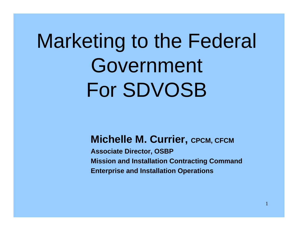# Marketing to the Federal Government For SDVOSB

#### **Michelle M. Currier, CPCM, CFCM**

**Associate Director, OSBP Mission and Installation Contracting Command Enterprise and Installation Operations**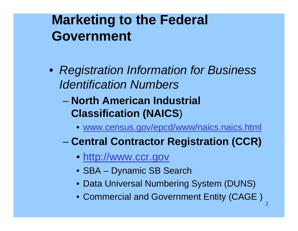- *Registration Information for Business Identification Numbers*
	- **North American Industrial Classification (NAICS** )
		- [www.census.gov/epcd/www/naics.naics.html](http://www.census.gov/epcd/www/naics.naics.html)
	- **Central Contractor Registration (CCR)**
		- [http://www.ccr.gov](http://www.ccr.gov/)
		- SBA Dynamic SB Search
		- Data Universal Numbering System (DUNS)
		- Commercial and Government Entity (CAGE )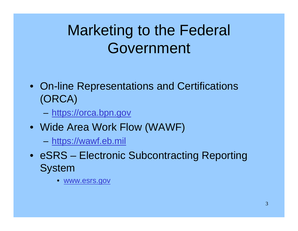- On-line Representations and Certifications (ORCA)
	- **However, Marketing Committee** – <u>[https://orca.bpn.gov](https://orca.bpn.gov/)</u>
- Wide Area Work Flow (WAWF)
	- –– <u>[https://wawf.eb.mil](https://wawf.eb.mil/)</u>
- eSRS Electronic Subcontracting Reporting System
	- •[www.esrs.gov](http://www.esrs.gov/)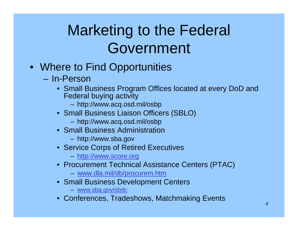- Where to Find Opportunities
	- In-Person
		- Small Business Program Offices located at every DoD and Federal buying activity
			- http://www.acq.osd.mil/osbp
		- Small Business Liaison Officers (SBLO)
			- http://www.acq.osd.mil/osbp
		- Small Business Administration
			- http://www.sba.gov
		- Service Corps of Retired Executives
			- [http://www.score.org](http://www.score.org/)
		- Procurement Technical Assistance Centers (PTAC)
			- [www.dla.mil/db/procurem.htm](http://www.dla.mil/db/procurem.htm)
		- Small Business Development Centers
			- [www.sba.gov/sbdc](http://www.sba.gov/sbdc)
		- Conferences, Tradeshows, Matchmaking Events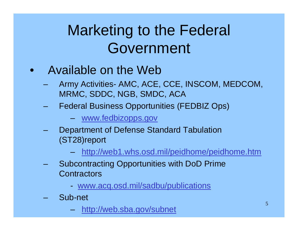- $\bullet$  Available on the Web
	- Army Activities- AMC, ACE, CCE, INSCOM, MEDCOM, MRMC, SDDC, NGB, SMDC, ACA
	- Federal Business Opportunities (FEDBIZ Ops)
		- [www.fedbizopps.gov](http://www.fedbizopps.gov/)
	- Department of Defense Standard Tabulation (ST28)report
		- and the contract of the con<http://web1.whs.osd.mil/peidhome/peidhome.htm>
	- Subcontracting Opportunities with DoD Prime **Contractors** 
		- [www.acq.osd.mil/sadbu/publications](http://www.acq.osd.mil/sadbu/publications)
	- Sub-net
		- <u><http://web.sba.gov/subnet></u>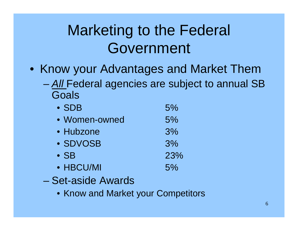- Know your Advantages and Market Them
	- *All* Federal agencies are subject to annual SB Goals

| $\bullet$ SDB | 5%  |
|---------------|-----|
| • Women-owned | 5%  |
| • Hubzone     | 3%  |
| • SDVOSB      | 3%  |
| $\bullet$ SB  | 23% |
| • HBCU/MI     | 5%  |

- Set-aside Awards
	- Know and Market your Competitors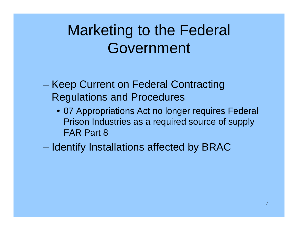- **Harry Committee**  Keep Current on Federal Contracting Regulations and Procedures
	- 07 Appropriations Act no longer requires Federal Prison Industries as a required source of supply FAR Part 8

Identify Installations affected by BRAC